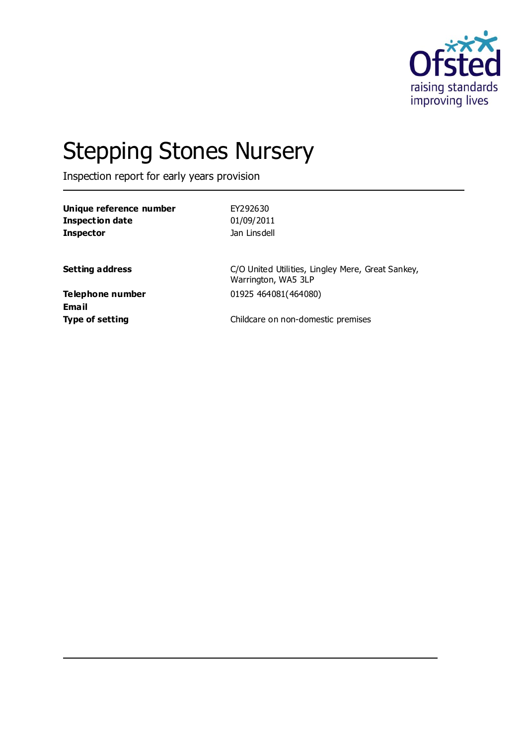

# Stepping Stones Nursery

Inspection report for early years provision

| Unique reference number   | EY292630                                                                 |
|---------------------------|--------------------------------------------------------------------------|
| <b>Inspection date</b>    | 01/09/2011                                                               |
| <b>Inspector</b>          | Jan Linsdell                                                             |
| <b>Setting address</b>    | C/O United Utilities, Lingley Mere, Great Sankey,<br>Warrington, WA5 3LP |
| Telephone number<br>Email | 01925 464081(464080)                                                     |
| <b>Type of setting</b>    | Childcare on non-domestic premises                                       |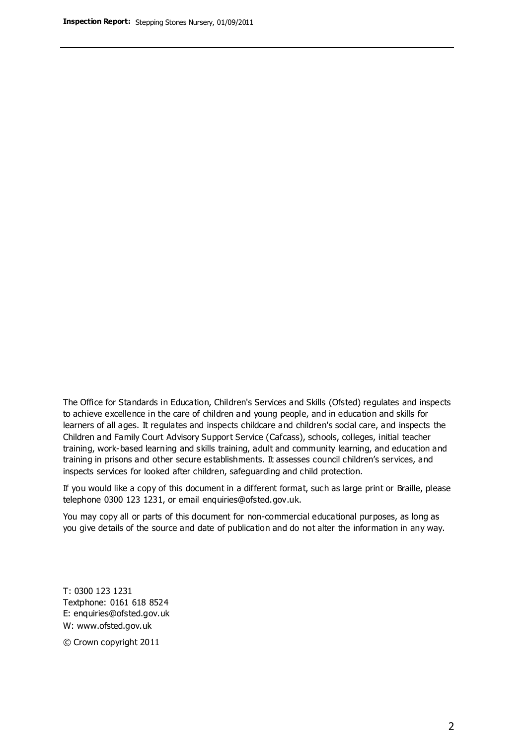The Office for Standards in Education, Children's Services and Skills (Ofsted) regulates and inspects to achieve excellence in the care of children and young people, and in education and skills for learners of all ages. It regulates and inspects childcare and children's social care, and inspects the Children and Family Court Advisory Support Service (Cafcass), schools, colleges, initial teacher training, work-based learning and skills training, adult and community learning, and education and training in prisons and other secure establishments. It assesses council children's services, and inspects services for looked after children, safeguarding and child protection.

If you would like a copy of this document in a different format, such as large print or Braille, please telephone 0300 123 1231, or email enquiries@ofsted.gov.uk.

You may copy all or parts of this document for non-commercial educational purposes, as long as you give details of the source and date of publication and do not alter the information in any way.

T: 0300 123 1231 Textphone: 0161 618 8524 E: enquiries@ofsted.gov.uk W: [www.ofsted.gov.uk](http://www.ofsted.gov.uk/)

© Crown copyright 2011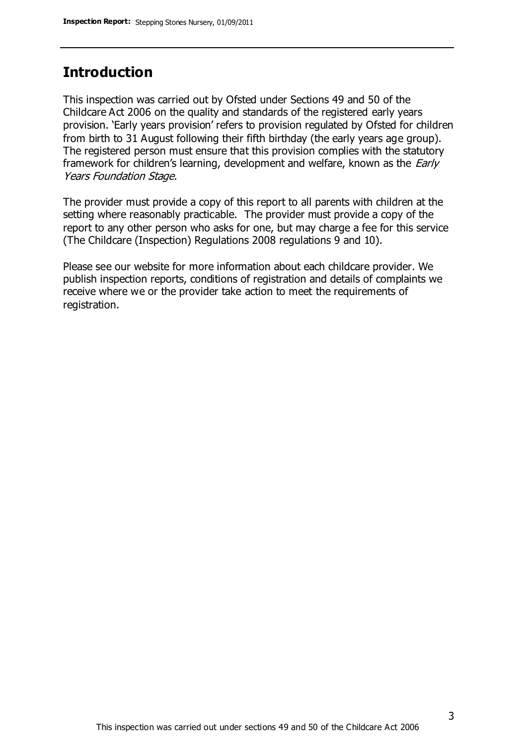## **Introduction**

This inspection was carried out by Ofsted under Sections 49 and 50 of the Childcare Act 2006 on the quality and standards of the registered early years provision. 'Early years provision' refers to provision regulated by Ofsted for children from birth to 31 August following their fifth birthday (the early years age group). The registered person must ensure that this provision complies with the statutory framework for children's learning, development and welfare, known as the *Early* Years Foundation Stage.

The provider must provide a copy of this report to all parents with children at the setting where reasonably practicable. The provider must provide a copy of the report to any other person who asks for one, but may charge a fee for this service (The Childcare (Inspection) Regulations 2008 regulations 9 and 10).

Please see our website for more information about each childcare provider. We publish inspection reports, conditions of registration and details of complaints we receive where we or the provider take action to meet the requirements of registration.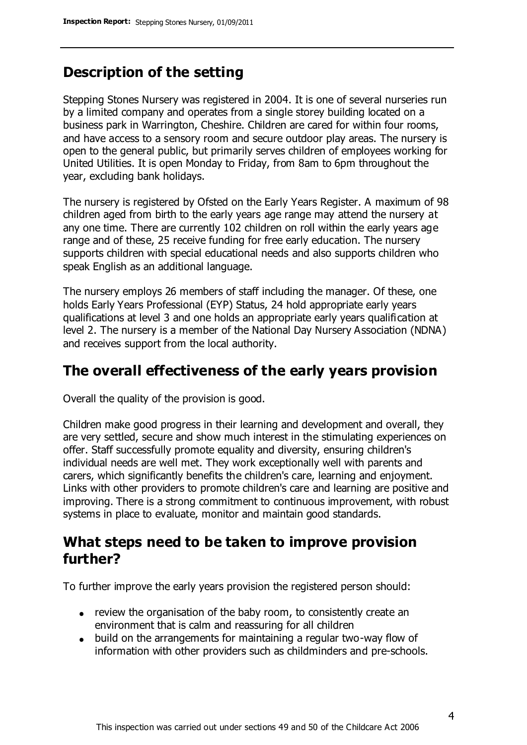## **Description of the setting**

Stepping Stones Nursery was registered in 2004. It is one of several nurseries run by a limited company and operates from a single storey building located on a business park in Warrington, Cheshire. Children are cared for within four rooms, and have access to a sensory room and secure outdoor play areas. The nursery is open to the general public, but primarily serves children of employees working for United Utilities. It is open Monday to Friday, from 8am to 6pm throughout the year, excluding bank holidays.

The nursery is registered by Ofsted on the Early Years Register. A maximum of 98 children aged from birth to the early years age range may attend the nursery at any one time. There are currently 102 children on roll within the early years age range and of these, 25 receive funding for free early education. The nursery supports children with special educational needs and also supports children who speak English as an additional language.

The nursery employs 26 members of staff including the manager. Of these, one holds Early Years Professional (EYP) Status, 24 hold appropriate early years qualifications at level 3 and one holds an appropriate early years qualification at level 2. The nursery is a member of the National Day Nursery Association (NDNA) and receives support from the local authority.

## **The overall effectiveness of the early years provision**

Overall the quality of the provision is good.

Children make good progress in their learning and development and overall, they are very settled, secure and show much interest in the stimulating experiences on offer. Staff successfully promote equality and diversity, ensuring children's individual needs are well met. They work exceptionally well with parents and carers, which significantly benefits the children's care, learning and enjoyment. Links with other providers to promote children's care and learning are positive and improving. There is a strong commitment to continuous improvement, with robust systems in place to evaluate, monitor and maintain good standards.

## **What steps need to be taken to improve provision further?**

To further improve the early years provision the registered person should:

- review the organisation of the baby room, to consistently create an environment that is calm and reassuring for all children
- build on the arrangements for maintaining a regular two-way flow of information with other providers such as childminders and pre-schools.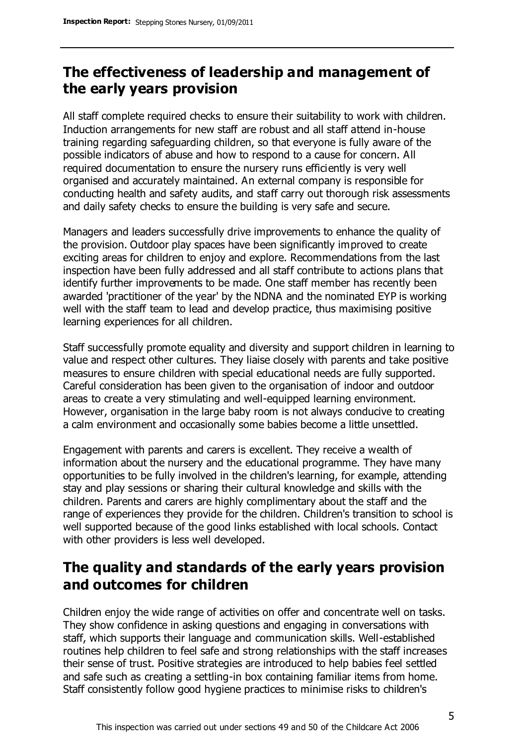# **The effectiveness of leadership and management of the early years provision**

All staff complete required checks to ensure their suitability to work with children. Induction arrangements for new staff are robust and all staff attend in-house training regarding safeguarding children, so that everyone is fully aware of the possible indicators of abuse and how to respond to a cause for concern. All required documentation to ensure the nursery runs efficiently is very well organised and accurately maintained. An external company is responsible for conducting health and safety audits, and staff carry out thorough risk assessments and daily safety checks to ensure the building is very safe and secure.

Managers and leaders successfully drive improvements to enhance the quality of the provision. Outdoor play spaces have been significantly improved to create exciting areas for children to enjoy and explore. Recommendations from the last inspection have been fully addressed and all staff contribute to actions plans that identify further improvements to be made. One staff member has recently been awarded 'practitioner of the year' by the NDNA and the nominated EYP is working well with the staff team to lead and develop practice, thus maximising positive learning experiences for all children.

Staff successfully promote equality and diversity and support children in learning to value and respect other cultures. They liaise closely with parents and take positive measures to ensure children with special educational needs are fully supported. Careful consideration has been given to the organisation of indoor and outdoor areas to create a very stimulating and well-equipped learning environment. However, organisation in the large baby room is not always conducive to creating a calm environment and occasionally some babies become a little unsettled.

Engagement with parents and carers is excellent. They receive a wealth of information about the nursery and the educational programme. They have many opportunities to be fully involved in the children's learning, for example, attending stay and play sessions or sharing their cultural knowledge and skills with the children. Parents and carers are highly complimentary about the staff and the range of experiences they provide for the children. Children's transition to school is well supported because of the good links established with local schools. Contact with other providers is less well developed.

# **The quality and standards of the early years provision and outcomes for children**

Children enjoy the wide range of activities on offer and concentrate well on tasks. They show confidence in asking questions and engaging in conversations with staff, which supports their language and communication skills. Well-established routines help children to feel safe and strong relationships with the staff increases their sense of trust. Positive strategies are introduced to help babies feel settled and safe such as creating a settling-in box containing familiar items from home. Staff consistently follow good hygiene practices to minimise risks to children's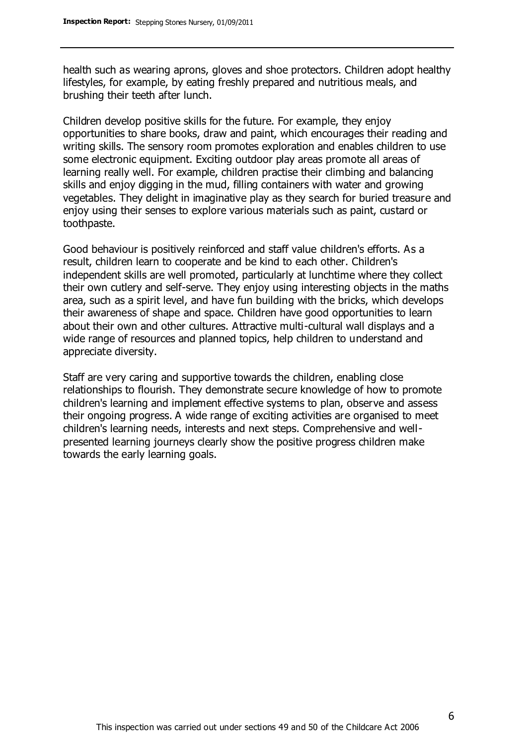health such as wearing aprons, gloves and shoe protectors. Children adopt healthy lifestyles, for example, by eating freshly prepared and nutritious meals, and brushing their teeth after lunch.

Children develop positive skills for the future. For example, they enjoy opportunities to share books, draw and paint, which encourages their reading and writing skills. The sensory room promotes exploration and enables children to use some electronic equipment. Exciting outdoor play areas promote all areas of learning really well. For example, children practise their climbing and balancing skills and enjoy digging in the mud, filling containers with water and growing vegetables. They delight in imaginative play as they search for buried treasure and enjoy using their senses to explore various materials such as paint, custard or toothpaste.

Good behaviour is positively reinforced and staff value children's efforts. As a result, children learn to cooperate and be kind to each other. Children's independent skills are well promoted, particularly at lunchtime where they collect their own cutlery and self-serve. They enjoy using interesting objects in the maths area, such as a spirit level, and have fun building with the bricks, which develops their awareness of shape and space. Children have good opportunities to learn about their own and other cultures. Attractive multi-cultural wall displays and a wide range of resources and planned topics, help children to understand and appreciate diversity.

Staff are very caring and supportive towards the children, enabling close relationships to flourish. They demonstrate secure knowledge of how to promote children's learning and implement effective systems to plan, observe and assess their ongoing progress. A wide range of exciting activities are organised to meet children's learning needs, interests and next steps. Comprehensive and wellpresented learning journeys clearly show the positive progress children make towards the early learning goals.